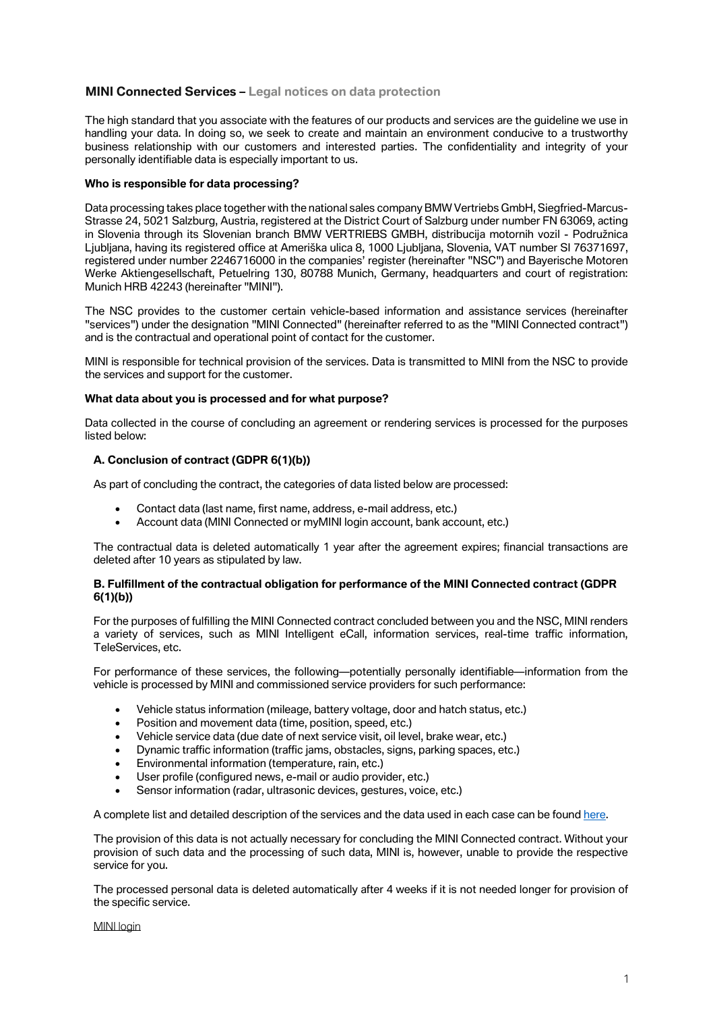# **MINI Connected Services – Legal notices on data protection**

The high standard that you associate with the features of our products and services are the guideline we use in handling your data. In doing so, we seek to create and maintain an environment conducive to a trustworthy business relationship with our customers and interested parties. The confidentiality and integrity of your personally identifiable data is especially important to us.

# **Who is responsible for data processing?**

Data processing takes place together with the national sales company BMW Vertriebs GmbH, Siegfried-Marcus-Strasse 24, 5021 Salzburg, Austria, registered at the District Court of Salzburg under number FN 63069, acting in Slovenia through its Slovenian branch BMW VERTRIEBS GMBH, distribucija motornih vozil - Podružnica Ljubljana, having its registered office at Ameriška ulica 8, 1000 Ljubljana, Slovenia, VAT number SI 76371697, registered under number 2246716000 in the companies' register (hereinafter "NSC") and Bayerische Motoren Werke Aktiengesellschaft, Petuelring 130, 80788 Munich, Germany, headquarters and court of registration: Munich HRB 42243 (hereinafter "MINI").

The NSC provides to the customer certain vehicle-based information and assistance services (hereinafter "services") under the designation "MINI Connected" (hereinafter referred to as the "MINI Connected contract") and is the contractual and operational point of contact for the customer.

MINI is responsible for technical provision of the services. Data is transmitted to MINI from the NSC to provide the services and support for the customer.

# **What data about you is processed and for what purpose?**

Data collected in the course of concluding an agreement or rendering services is processed for the purposes listed below:

# **A. Conclusion of contract (GDPR 6(1)(b))**

As part of concluding the contract, the categories of data listed below are processed:

- *Contact data (last name, first name, address, e-mail address, etc.)*
- *Account data (MINI Connected or myMINI login account, bank account, etc.)*

The contractual data is deleted automatically 1 year after the agreement expires; financial transactions are deleted after 10 years as stipulated by law.

# **B. Fulfillment of the contractual obligation for performance of the MINI Connected contract (GDPR 6(1)(b))**

For the purposes of fulfilling the MINI Connected contract concluded between you and the NSC, MINI renders a variety of services, such as MINI Intelligent eCall, information services, real-time traffic information, TeleServices, etc.

For performance of these services, the following—potentially personally identifiable—information from the vehicle is processed by MINI and commissioned service providers for such performance:

- *Vehicle status information (mileage, battery voltage, door and hatch status, etc.)*
- *Position and movement data (time, position, speed, etc.)*
- *Vehicle service data (due date of next service visit, oil level, brake wear, etc.)*
- *Dynamic traffic information (traffic jams, obstacles, signs, parking spaces, etc.)*
- *Environmental information (temperature, rain, etc.)*
- *User profile (configured news, e-mail or audio provider, etc.)*
- *Sensor information (radar, ultrasonic devices, gestures, voice, etc.)*

A complete list and detailed description of the services and the data used in each case can be foun[d here.](https://btclegaldocumentcheckeu.bmwgroup.com/api/legaldocumentcheck/viewlatestdocument/cd_pp/mini/ios/row?locale=EN-SI)

The provision of this data is not actually necessary for concluding the MINI Connected contract. Without your provision of such data and the processing of such data, MINI is, however, unable to provide the respective service for you.

The processed personal data is deleted automatically after 4 weeks if it is not needed longer for provision of the specific service.

MINI login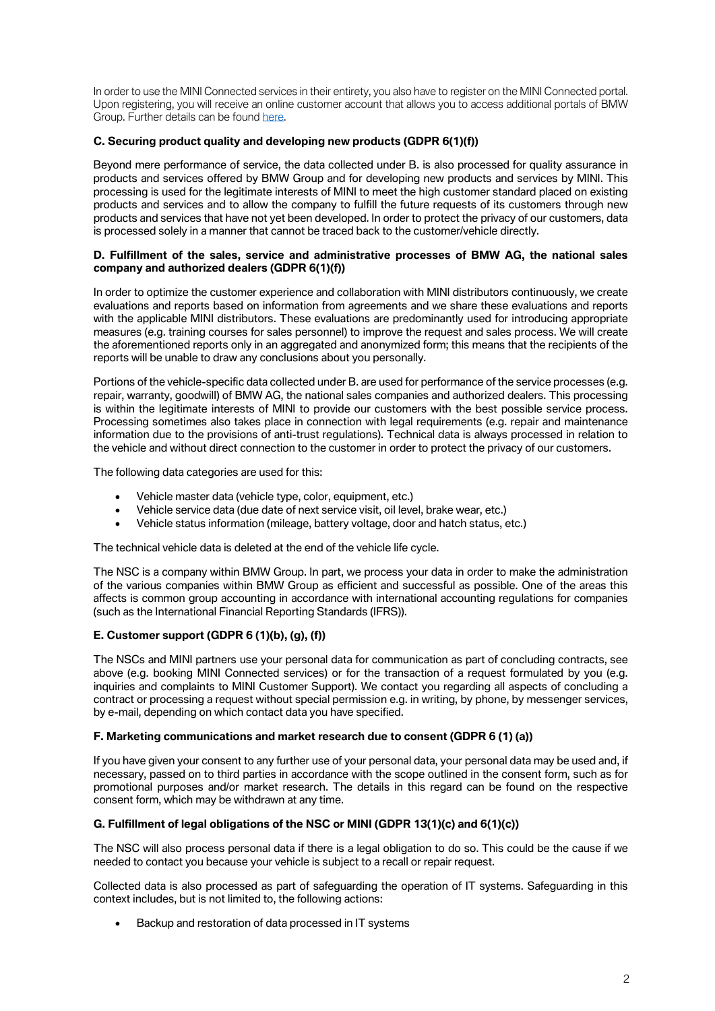In order to use the MINI Connected services in their entirety, you also have to register on the MINI Connected portal. Upon registering, you will receive an online customer account that allows you to access additional portals of BMW Group. Further details can be found [here.](https://www.mini-connected.com/)

# **C. Securing product quality and developing new products (GDPR 6(1)(f))**

Beyond mere performance of service, the data collected under B. is also processed for quality assurance in products and services offered by BMW Group and for developing new products and services by MINI. This processing is used for the legitimate interests of MINI to meet the high customer standard placed on existing products and services and to allow the company to fulfill the future requests of its customers through new products and services that have not yet been developed. In order to protect the privacy of our customers, data is processed solely in a manner that cannot be traced back to the customer/vehicle directly.

# *D. Fulfillment of the sales, service and administrative processes of BMW AG, the national sales company and authorized dealers (GDPR 6(1)(f))*

In order to optimize the customer experience and collaboration with MINI distributors continuously, we create evaluations and reports based on information from agreements and we share these evaluations and reports with the applicable MINI distributors. These evaluations are predominantly used for introducing appropriate measures (e.g. training courses for sales personnel) to improve the request and sales process. We will create the aforementioned reports only in an aggregated and anonymized form; this means that the recipients of the reports will be unable to draw any conclusions about you personally.

Portions of the vehicle-specific data collected under B. are used for performance of the service processes (e.g. repair, warranty, goodwill) of BMW AG, the national sales companies and authorized dealers. This processing is within the legitimate interests of MINI to provide our customers with the best possible service process. Processing sometimes also takes place in connection with legal requirements (e.g. repair and maintenance information due to the provisions of anti-trust regulations). Technical data is always processed in relation to the vehicle and without direct connection to the customer in order to protect the privacy of our customers.

The following data categories are used for this:

- *Vehicle master data (vehicle type, color, equipment, etc.)*
- *Vehicle service data (due date of next service visit, oil level, brake wear, etc.)*
- *Vehicle status information (mileage, battery voltage, door and hatch status, etc.)*

The technical vehicle data is deleted at the end of the vehicle life cycle.

The NSC is a company within BMW Group. In part, we process your data in order to make the administration of the various companies within BMW Group as efficient and successful as possible. One of the areas this affects is common group accounting in accordance with international accounting regulations for companies (such as the International Financial Reporting Standards (IFRS)).

# *E. Customer support (GDPR 6 (1)(b), (g), (f))*

The NSCs and MINI partners use your personal data for communication as part of concluding contracts, see above (e.g. booking MINI Connected services) or for the transaction of a request formulated by you (e.g. inquiries and complaints to MINI Customer Support). We contact you regarding all aspects of concluding a contract or processing a request without special permission e.g. in writing, by phone, by messenger services, by e-mail, depending on which contact data you have specified.

### *F. Marketing communications and market research due to consent (GDPR 6 (1) (a))*

If you have given your consent to any further use of your personal data, your personal data may be used and, if necessary, passed on to third parties in accordance with the scope outlined in the consent form, such as for promotional purposes and/or market research. The details in this regard can be found on the respective consent form, which may be withdrawn at any time.

# *G. Fulfillment of legal obligations of the NSC or MINI (GDPR 13(1)(c) and 6(1)(c))*

The NSC will also process personal data if there is a legal obligation to do so. This could be the cause if we needed to contact you because your vehicle is subject to a recall or repair request.

Collected data is also processed as part of safeguarding the operation of IT systems. Safeguarding in this context includes, but is not limited to, the following actions:

• *Backup and restoration of data processed in IT systems*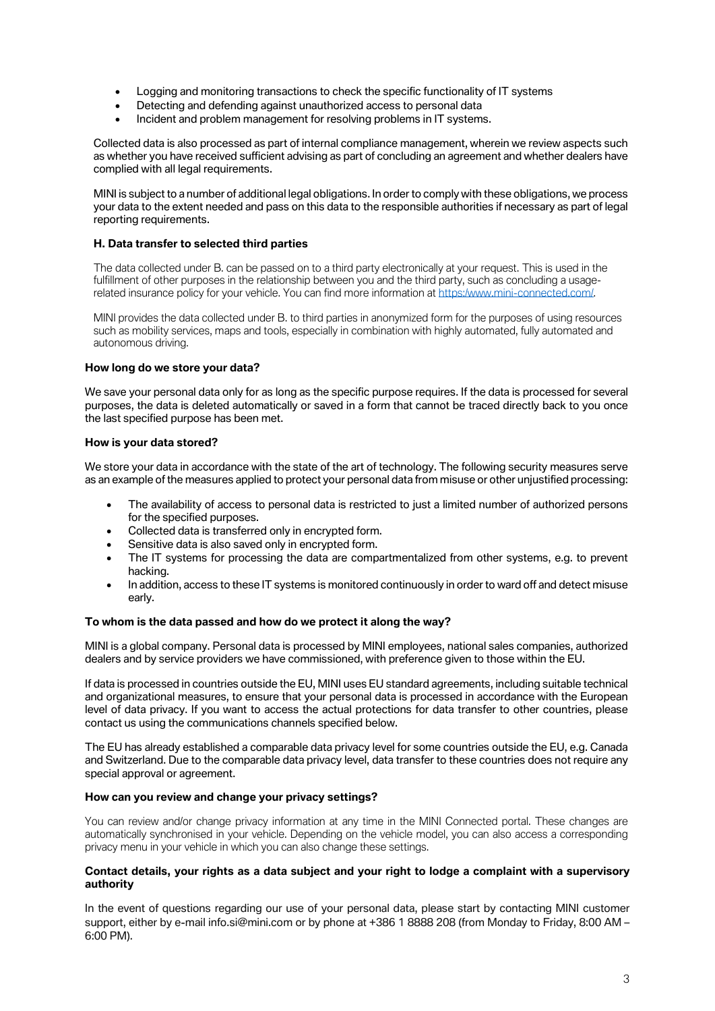- *Logging and monitoring transactions to check the specific functionality of IT systems*
- *Detecting and defending against unauthorized access to personal data*
- *Incident and problem management for resolving problems in IT systems.*

Collected data is also processed as part of internal compliance management, wherein we review aspects such as whether you have received sufficient advising as part of concluding an agreement and whether dealers have complied with all legal requirements.

MINI is subject to a number of additional legal obligations. In order to comply with these obligations, we process your data to the extent needed and pass on this data to the responsible authorities if necessary as part of legal reporting requirements.

# **H. Data transfer to selected third parties**

The data collected under B. can be passed on to a third party electronically at your request. This is used in the fulfillment of other purposes in the relationship between you and the third party, such as concluding a usagerelated insurance policy for your vehicle. You can find more information a[t https:/www.mini-connected.com/.](https://www.mini-connected.com/)

MINI provides the data collected under B. to third parties in anonymized form for the purposes of using resources such as mobility services, maps and tools, especially in combination with highly automated, fully automated and autonomous driving.

# **How long do we store your data?**

We save your personal data only for as long as the specific purpose requires. If the data is processed for several purposes, the data is deleted automatically or saved in a form that cannot be traced directly back to you once the last specified purpose has been met.

# **How is your data stored?**

We store your data in accordance with the state of the art of technology. The following security measures serve as an example of the measures applied to protect your personal data from misuse or other unjustified processing:

- *The availability of access to personal data is restricted to just a limited number of authorized persons for the specified purposes.*
- *Collected data is transferred only in encrypted form.*
- *Sensitive data is also saved only in encrypted form.*
- *The IT systems for processing the data are compartmentalized from other systems, e.g. to prevent hacking.*
- *In addition, access to these IT systems is monitored continuously in order to ward off and detect misuse early.*

# **To whom is the data passed and how do we protect it along the way?**

MINI is a global company. Personal data is processed by MINI employees, national sales companies, authorized dealers and by service providers we have commissioned, with preference given to those within the EU.

If data is processed in countries outside the EU, MINI uses EU standard agreements, including suitable technical and organizational measures, to ensure that your personal data is processed in accordance with the European level of data privacy. If you want to access the actual protections for data transfer to other countries, please contact us using the communications channels specified below.

The EU has already established a comparable data privacy level for some countries outside the EU, e.g. Canada and Switzerland. Due to the comparable data privacy level, data transfer to these countries does not require any special approval or agreement.

# **How can you review and change your privacy settings?**

You can review and/or change privacy information at any time in the MINI Connected portal. These changes are automatically synchronised in your vehicle. Depending on the vehicle model, you can also access a corresponding privacy menu in your vehicle in which you can also change these settings.

# **Contact details, your rights as a data subject and your right to lodge a complaint with a supervisory authority**

In the event of questions regarding our use of your personal data, please start by contacting MINI customer support, either by e-mail info.si@mini.com or by phone at +386 1 8888 208 (from Monday to Friday, 8:00 AM – 6:00 PM).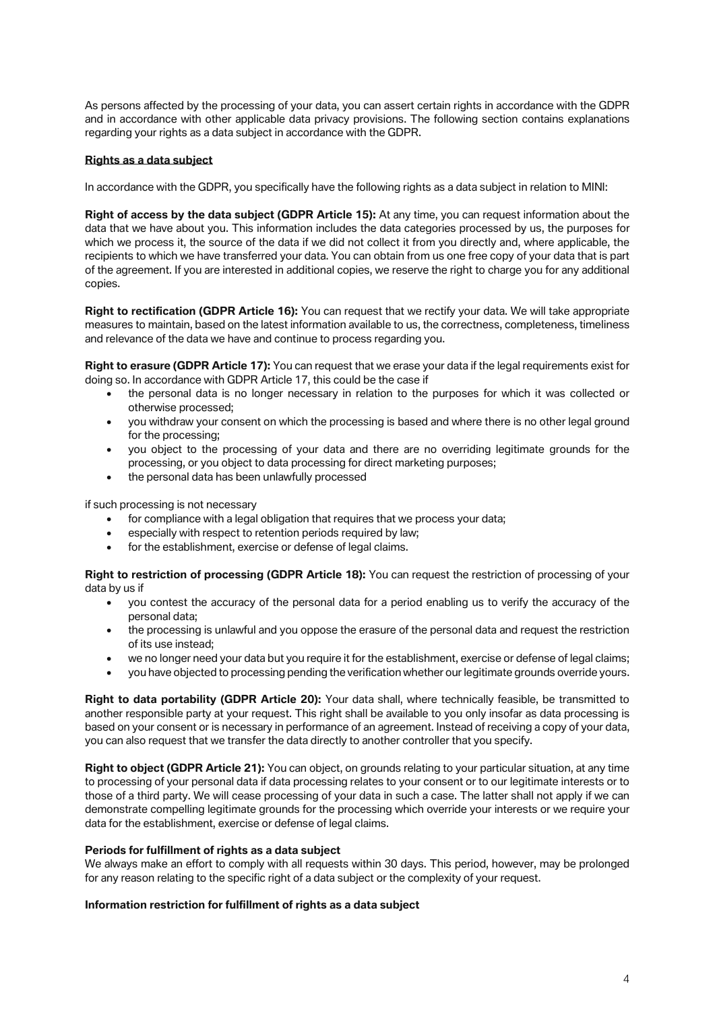As persons affected by the processing of your data, you can assert certain rights in accordance with the GDPR and in accordance with other applicable data privacy provisions. The following section contains explanations regarding your rights as a data subject in accordance with the GDPR.

# *Rights as a data subject*

In accordance with the GDPR, you specifically have the following rights as a data subject in relation to MINI:

**Right of access by the data subject (GDPR Article 15):** At any time, you can request information about the data that we have about you. This information includes the data categories processed by us, the purposes for which we process it, the source of the data if we did not collect it from you directly and, where applicable, the recipients to which we have transferred your data. You can obtain from us one free copy of your data that is part of the agreement. If you are interested in additional copies, we reserve the right to charge you for any additional copies.

**Right to rectification (GDPR Article 16):** You can request that we rectify your data. We will take appropriate measures to maintain, based on the latest information available to us, the correctness, completeness, timeliness and relevance of the data we have and continue to process regarding you.

**Right to erasure (GDPR Article 17):** You can request that we erase your data if the legal requirements exist for doing so. In accordance with GDPR Article 17, this could be the case if

- *the personal data is no longer necessary in relation to the purposes for which it was collected or otherwise processed;*
- *you withdraw your consent on which the processing is based and where there is no other legal ground for the processing;*
- *you object to the processing of your data and there are no overriding legitimate grounds for the processing, or you object to data processing for direct marketing purposes;*
- *the personal data has been unlawfully processed*

if such processing is not necessary

- *for compliance with a legal obligation that requires that we process your data;*
- *especially with respect to retention periods required by law;*
- *for the establishment, exercise or defense of legal claims.*

**Right to restriction of processing (GDPR Article 18):** You can request the restriction of processing of your data by us if

- *you contest the accuracy of the personal data for a period enabling us to verify the accuracy of the personal data;*
- *the processing is unlawful and you oppose the erasure of the personal data and request the restriction of its use instead;*
- *we no longer need your data but you require it for the establishment, exercise or defense of legal claims;*
- *you have objected to processing pending the verification whether our legitimate grounds override yours.*

**Right to data portability (GDPR Article 20):** Your data shall, where technically feasible, be transmitted to another responsible party at your request. This right shall be available to you only insofar as data processing is based on your consent or is necessary in performance of an agreement. Instead of receiving a copy of your data, you can also request that we transfer the data directly to another controller that you specify.

**Right to object (GDPR Article 21):** You can object, on grounds relating to your particular situation, at any time to processing of your personal data if data processing relates to your consent or to our legitimate interests or to those of a third party. We will cease processing of your data in such a case. The latter shall not apply if we can demonstrate compelling legitimate grounds for the processing which override your interests or we require your data for the establishment, exercise or defense of legal claims.

### **Periods for fulfillment of rights as a data subject**

We always make an effort to comply with all requests within 30 days. This period, however, may be prolonged for any reason relating to the specific right of a data subject or the complexity of your request.

### **Information restriction for fulfillment of rights as a data subject**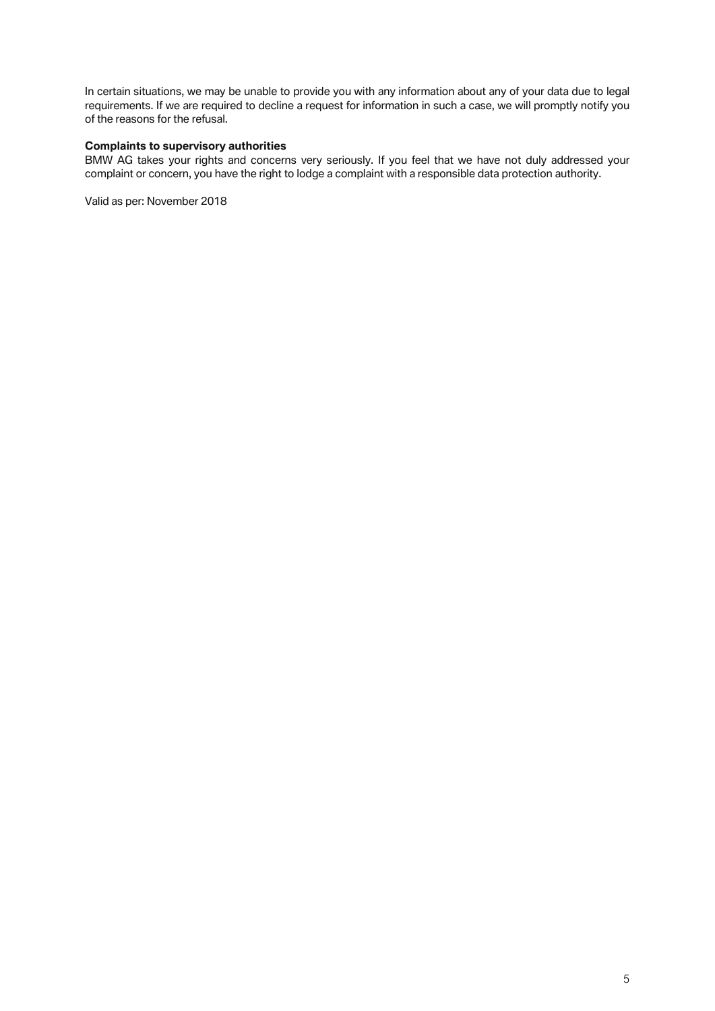In certain situations, we may be unable to provide you with any information about any of your data due to legal requirements. If we are required to decline a request for information in such a case, we will promptly notify you of the reasons for the refusal.

# **Complaints to supervisory authorities**

BMW AG takes your rights and concerns very seriously. If you feel that we have not duly addressed your complaint or concern, you have the right to lodge a complaint with a responsible data protection authority.

Valid as per: November 2018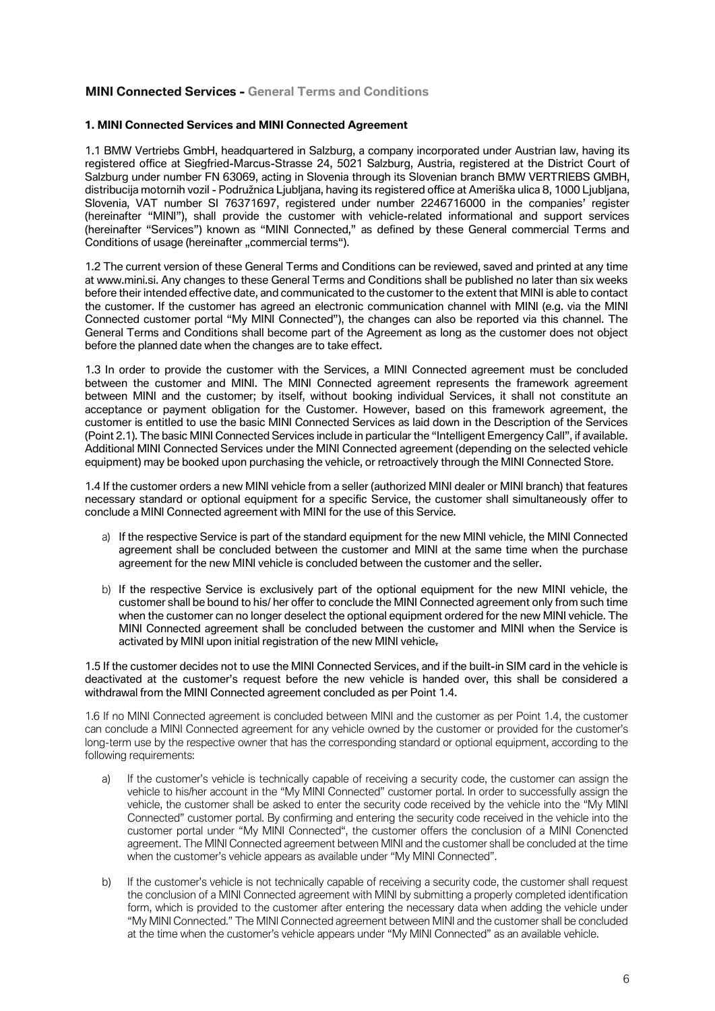# **MINI Connected Services - General Terms and Conditions**

# **1. MINI Connected Services and MINI Connected Agreement**

1.1 BMW Vertriebs GmbH, headquartered in Salzburg, a company incorporated under Austrian law, having its registered office at Siegfried-Marcus-Strasse 24, 5021 Salzburg, Austria, registered at the District Court of Salzburg under number FN 63069, acting in Slovenia through its Slovenian branch BMW VERTRIEBS GMBH, distribucija motornih vozil - Podružnica Ljubljana, having its registered office at Ameriška ulica 8, 1000 Ljubljana, Slovenia, VAT number SI 76371697, registered under number 2246716000 in the companies' register (hereinafter "MINI"), shall provide the customer with vehicle-related informational and support services (hereinafter "Services") known as "MINI Connected," as defined by these General commercial Terms and Conditions of usage (hereinafter "commercial terms").

1.2 The current version of these General Terms and Conditions can be reviewed, saved and printed at any time at www.mini.si. Any changes to these General Terms and Conditions shall be published no later than six weeks before their intended effective date, and communicated to the customer to the extent that MINI is able to contact the customer. If the customer has agreed an electronic communication channel with MINI (e.g. via the MINI Connected customer portal "My MINI Connected"), the changes can also be reported via this channel. The General Terms and Conditions shall become part of the Agreement as long as the customer does not object before the planned date when the changes are to take effect.

1.3 In order to provide the customer with the Services, a MINI Connected agreement must be concluded between the customer and MINI. The MINI Connected agreement represents the framework agreement between MINI and the customer; by itself, without booking individual Services, it shall not constitute an acceptance or payment obligation for the Customer. However, based on this framework agreement, the customer is entitled to use the basic MINI Connected Services as laid down in the Description of the Services (Point 2.1). The basic MINI Connected Services include in particular the "Intelligent Emergency Call", if available. Additional MINI Connected Services under the MINI Connected agreement (depending on the selected vehicle equipment) may be booked upon purchasing the vehicle, or retroactively through the MINI Connected Store.

1.4 If the customer orders a new MINI vehicle from a seller (authorized MINI dealer or MINI branch) that features necessary standard or optional equipment for a specific Service, the customer shall simultaneously offer to conclude a MINI Connected agreement with MINI for the use of this Service.

- a) If the respective Service is part of the standard equipment for the new MINI vehicle, the MINI Connected agreement shall be concluded between the customer and MINI at the same time when the purchase agreement for the new MINI vehicle is concluded between the customer and the seller.
- b) If the respective Service is exclusively part of the optional equipment for the new MINI vehicle, the customer shall be bound to his/ her offer to conclude the MINI Connected agreement only from such time when the customer can no longer deselect the optional equipment ordered for the new MINI vehicle. The MINI Connected agreement shall be concluded between the customer and MINI when the Service is activated by MINI upon initial registration of the new MINI vehicle.

1.5 If the customer decides not to use the MINI Connected Services, and if the built-in SIM card in the vehicle is deactivated at the customer's request before the new vehicle is handed over, this shall be considered a withdrawal from the MINI Connected agreement concluded as per Point 1.4.

1.6 If no MINI Connected agreement is concluded between MINI and the customer as per Point 1.4, the customer can conclude a MINI Connected agreement for any vehicle owned by the customer or provided for the customer's long-term use by the respective owner that has the corresponding standard or optional equipment, according to the following requirements:

- a) If the customer's vehicle is technically capable of receiving a security code, the customer can assign the vehicle to his/her account in the "My MINI Connected" customer portal. In order to successfully assign the vehicle, the customer shall be asked to enter the security code received by the vehicle into the "My MINI Connected" customer portal. By confirming and entering the security code received in the vehicle into the customer portal under "My MINI Connected", the customer offers the conclusion of a MINI Conencted agreement. The MINI Connected agreement between MINI and the customer shall be concluded at the time when the customer's vehicle appears as available under "My MINI Connected".
- b) If the customer's vehicle is not technically capable of receiving a security code, the customer shall request the conclusion of a MINI Connected agreement with MINI by submitting a properly completed identification form, which is provided to the customer after entering the necessary data when adding the vehicle under "My MINI Connected." The MINI Connected agreement between MINI and the customer shall be concluded at the time when the customer's vehicle appears under "My MINI Connected" as an available vehicle.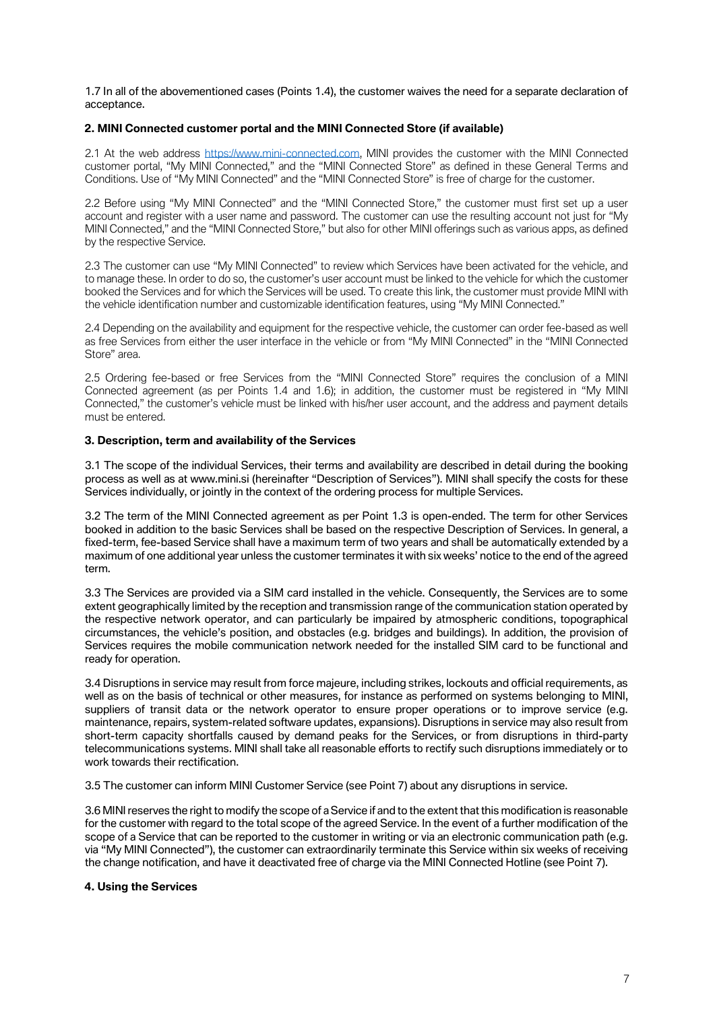1.7 In all of the abovementioned cases (Points 1.4), the customer waives the need for a separate declaration of acceptance.

# **2. MINI Connected customer portal and the MINI Connected Store (if available)**

2.1 At the web address [https://www.mini-connected.com,](https://www.mini-connected.com/) MINI provides the customer with the MINI Connected customer portal, "My MINI Connected," and the "MINI Connected Store" as defined in these General Terms and Conditions. Use of "My MINI Connected" and the "MINI Connected Store" is free of charge for the customer.

2.2 Before using "My MINI Connected" and the "MINI Connected Store," the customer must first set up a user account and register with a user name and password. The customer can use the resulting account not just for "My MINI Connected," and the "MINI Connected Store," but also for other MINI offerings such as various apps, as defined by the respective Service.

2.3 The customer can use "My MINI Connected" to review which Services have been activated for the vehicle, and to manage these. In order to do so, the customer's user account must be linked to the vehicle for which the customer booked the Services and for which the Services will be used. To create this link, the customer must provide MINI with the vehicle identification number and customizable identification features, using "My MINI Connected."

2.4 Depending on the availability and equipment for the respective vehicle, the customer can order fee-based as well as free Services from either the user interface in the vehicle or from "My MINI Connected" in the "MINI Connected Store" area.

2.5 Ordering fee-based or free Services from the "MINI Connected Store" requires the conclusion of a MINI Connected agreement (as per Points 1.4 and 1.6); in addition, the customer must be registered in "My MINI Connected," the customer's vehicle must be linked with his/her user account, and the address and payment details must be entered.

# **3. Description, term and availability of the Services**

3.1 The scope of the individual Services, their terms and availability are described in detail during the booking process as well as at www.mini.si (hereinafter "Description of Services"). MINI shall specify the costs for these Services individually, or jointly in the context of the ordering process for multiple Services.

3.2 The term of the MINI Connected agreement as per Point 1.3 is open-ended. The term for other Services booked in addition to the basic Services shall be based on the respective Description of Services. In general, a fixed-term, fee-based Service shall have a maximum term of two years and shall be automatically extended by a maximum of one additional year unless the customer terminates it with six weeks' notice to the end of the agreed term.

3.3 The Services are provided via a SIM card installed in the vehicle. Consequently, the Services are to some extent geographically limited by the reception and transmission range of the communication station operated by the respective network operator, and can particularly be impaired by atmospheric conditions, topographical circumstances, the vehicle's position, and obstacles (e.g. bridges and buildings). In addition, the provision of Services requires the mobile communication network needed for the installed SIM card to be functional and ready for operation.

3.4 Disruptions in service may result from force majeure, including strikes, lockouts and official requirements, as well as on the basis of technical or other measures, for instance as performed on systems belonging to MINI, suppliers of transit data or the network operator to ensure proper operations or to improve service (e.g. maintenance, repairs, system-related software updates, expansions). Disruptions in service may also result from short-term capacity shortfalls caused by demand peaks for the Services, or from disruptions in third-party telecommunications systems. MINI shall take all reasonable efforts to rectify such disruptions immediately or to work towards their rectification.

3.5 The customer can inform MINI Customer Service (see Point 7) about any disruptions in service.

3.6 MINI reserves the right to modify the scope of a Service if and to the extent that this modification is reasonable for the customer with regard to the total scope of the agreed Service. In the event of a further modification of the scope of a Service that can be reported to the customer in writing or via an electronic communication path (e.g. via "My MINI Connected"), the customer can extraordinarily terminate this Service within six weeks of receiving the change notification, and have it deactivated free of charge via the MINI Connected Hotline (see Point 7).

# **4. Using the Services**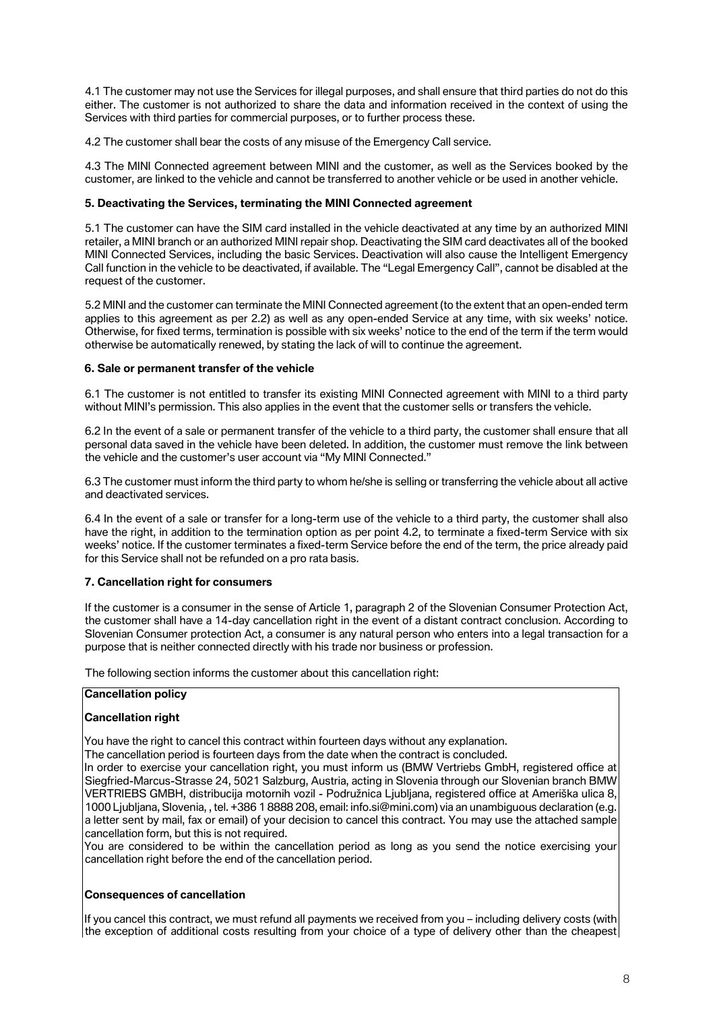4.1 The customer may not use the Services for illegal purposes, and shall ensure that third parties do not do this either. The customer is not authorized to share the data and information received in the context of using the Services with third parties for commercial purposes, or to further process these.

4.2 The customer shall bear the costs of any misuse of the Emergency Call service.

4.3 The MINI Connected agreement between MINI and the customer, as well as the Services booked by the customer, are linked to the vehicle and cannot be transferred to another vehicle or be used in another vehicle.

# **5. Deactivating the Services, terminating the MINI Connected agreement**

5.1 The customer can have the SIM card installed in the vehicle deactivated at any time by an authorized MINI retailer, a MINI branch or an authorized MINI repair shop. Deactivating the SIM card deactivates all of the booked MINI Connected Services, including the basic Services. Deactivation will also cause the Intelligent Emergency Call function in the vehicle to be deactivated, if available. The "Legal Emergency Call", cannot be disabled at the request of the customer.

5.2 MINI and the customer can terminate the MINI Connected agreement (to the extent that an open-ended term applies to this agreement as per 2.2) as well as any open-ended Service at any time, with six weeks' notice. Otherwise, for fixed terms, termination is possible with six weeks' notice to the end of the term if the term would otherwise be automatically renewed, by stating the lack of will to continue the agreement.

# **6. Sale or permanent transfer of the vehicle**

6.1 The customer is not entitled to transfer its existing MINI Connected agreement with MINI to a third party without MINI's permission. This also applies in the event that the customer sells or transfers the vehicle.

6.2 In the event of a sale or permanent transfer of the vehicle to a third party, the customer shall ensure that all personal data saved in the vehicle have been deleted. In addition, the customer must remove the link between the vehicle and the customer's user account via "My MINI Connected."

6.3 The customer must inform the third party to whom he/she is selling or transferring the vehicle about all active and deactivated services.

6.4 In the event of a sale or transfer for a long-term use of the vehicle to a third party, the customer shall also have the right, in addition to the termination option as per point 4.2, to terminate a fixed-term Service with six weeks' notice. If the customer terminates a fixed-term Service before the end of the term, the price already paid for this Service shall not be refunded on a pro rata basis.

### **7. Cancellation right for consumers**

If the customer is a consumer in the sense of Article 1, paragraph 2 of the Slovenian Consumer Protection Act, the customer shall have a 14-day cancellation right in the event of a distant contract conclusion. According to Slovenian Consumer protection Act, a consumer is any natural person who enters into a legal transaction for a purpose that is neither connected directly with his trade nor business or profession.

The following section informs the customer about this cancellation right:

### **Cancellation policy**

# **Cancellation right**

You have the right to cancel this contract within fourteen days without any explanation.

The cancellation period is fourteen days from the date when the contract is concluded.

In order to exercise your cancellation right, you must inform us (BMW Vertriebs GmbH, registered office at Siegfried-Marcus-Strasse 24, 5021 Salzburg, Austria, acting in Slovenia through our Slovenian branch BMW VERTRIEBS GMBH, distribucija motornih vozil - Podružnica Ljubljana, registered office at Ameriška ulica 8, 1000 Ljubljana, Slovenia, , tel. +386 1 8888 208, email: info.si@mini.com) via an unambiguous declaration (e.g. a letter sent by mail, fax or email) of your decision to cancel this contract. You may use the attached sample cancellation form, but this is not required.

You are considered to be within the cancellation period as long as you send the notice exercising your cancellation right before the end of the cancellation period.

### **Consequences of cancellation**

If you cancel this contract, we must refund all payments we received from you – including delivery costs (with the exception of additional costs resulting from your choice of a type of delivery other than the cheapest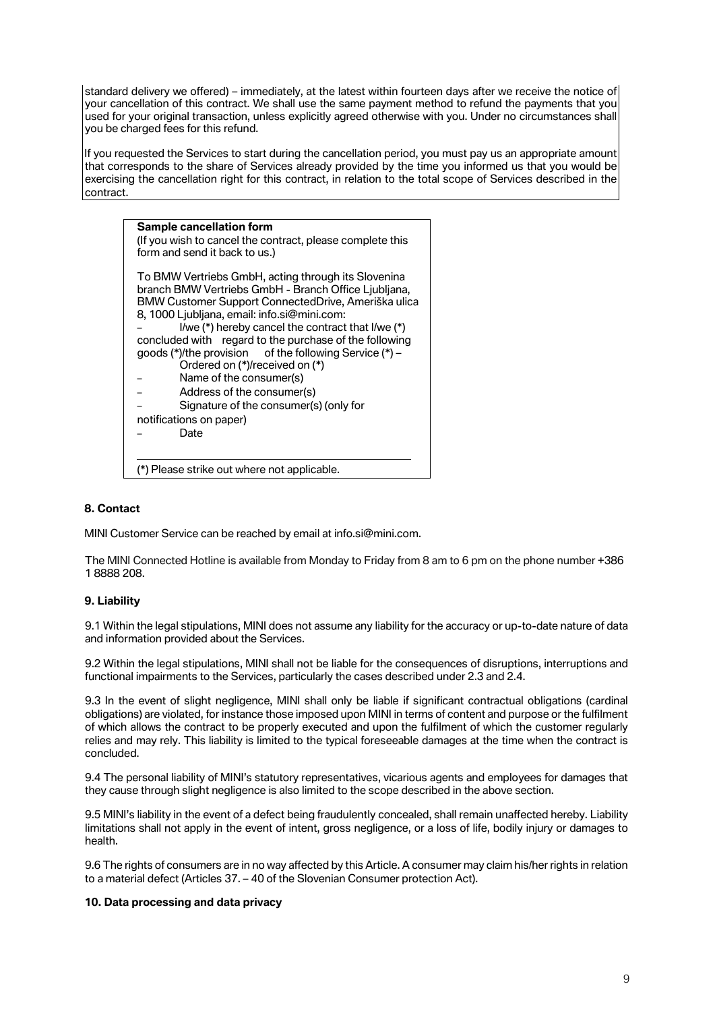standard delivery we offered) – immediately, at the latest within fourteen days after we receive the notice of your cancellation of this contract. We shall use the same payment method to refund the payments that you used for your original transaction, unless explicitly agreed otherwise with you. Under no circumstances shall you be charged fees for this refund.

If you requested the Services to start during the cancellation period, you must pay us an appropriate amount that corresponds to the share of Services already provided by the time you informed us that you would be exercising the cancellation right for this contract, in relation to the total scope of Services described in the contract.



# **8. Contact**

MINI Customer Service can be reached by email at info.si@mini.com.

The MINI Connected Hotline is available from Monday to Friday from 8 am to 6 pm on the phone number +386 1 8888 208.

# **9. Liability**

9.1 Within the legal stipulations, MINI does not assume any liability for the accuracy or up-to-date nature of data and information provided about the Services.

9.2 Within the legal stipulations, MINI shall not be liable for the consequences of disruptions, interruptions and functional impairments to the Services, particularly the cases described under 2.3 and 2.4.

9.3 In the event of slight negligence, MINI shall only be liable if significant contractual obligations (cardinal obligations) are violated, for instance those imposed upon MINI in terms of content and purpose or the fulfilment of which allows the contract to be properly executed and upon the fulfilment of which the customer regularly relies and may rely. This liability is limited to the typical foreseeable damages at the time when the contract is concluded.

9.4 The personal liability of MINI's statutory representatives, vicarious agents and employees for damages that they cause through slight negligence is also limited to the scope described in the above section.

9.5 MINI's liability in the event of a defect being fraudulently concealed, shall remain unaffected hereby. Liability limitations shall not apply in the event of intent, gross negligence, or a loss of life, bodily injury or damages to health.

9.6 The rights of consumers are in no way affected by this Article. A consumer may claim his/her rights in relation to a material defect (Articles 37. – 40 of the Slovenian Consumer protection Act).

## **10. Data processing and data privacy**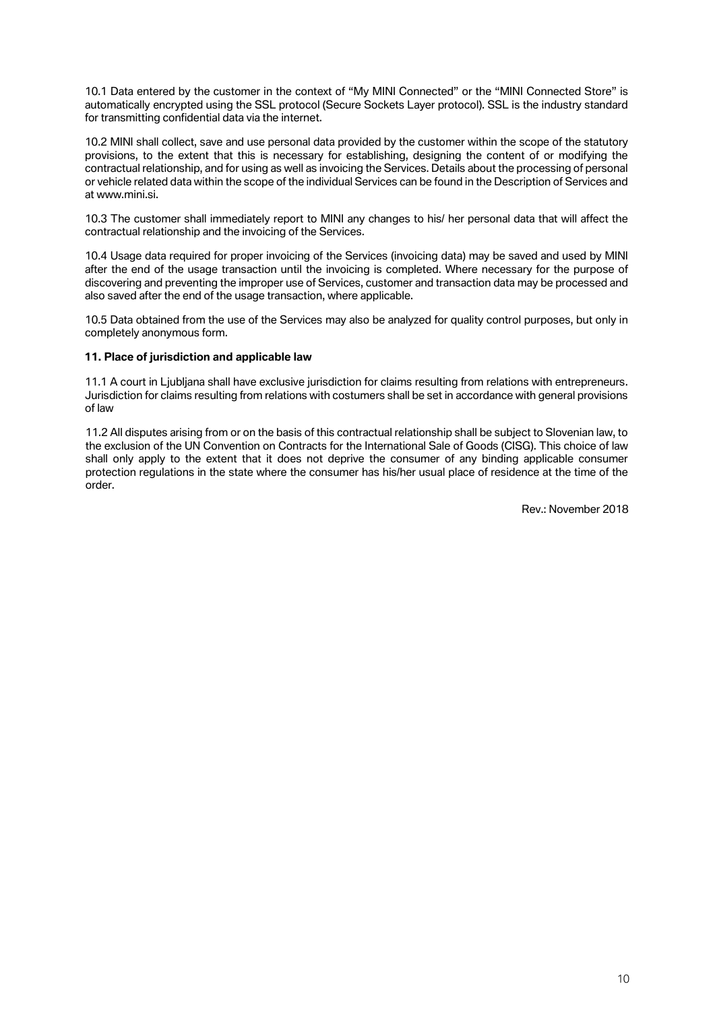10.1 Data entered by the customer in the context of "My MINI Connected" or the "MINI Connected Store" is automatically encrypted using the SSL protocol (Secure Sockets Layer protocol). SSL is the industry standard for transmitting confidential data via the internet.

10.2 MINI shall collect, save and use personal data provided by the customer within the scope of the statutory provisions, to the extent that this is necessary for establishing, designing the content of or modifying the contractual relationship, and for using as well as invoicing the Services. Details about the processing of personal or vehicle related data within the scope of the individual Services can be found in the Description of Services and at www.mini.si

10.3 The customer shall immediately report to MINI any changes to his/ her personal data that will affect the contractual relationship and the invoicing of the Services.

10.4 Usage data required for proper invoicing of the Services (invoicing data) may be saved and used by MINI after the end of the usage transaction until the invoicing is completed. Where necessary for the purpose of discovering and preventing the improper use of Services, customer and transaction data may be processed and also saved after the end of the usage transaction, where applicable.

10.5 Data obtained from the use of the Services may also be analyzed for quality control purposes, but only in completely anonymous form.

### **11. Place of jurisdiction and applicable law**

11.1 A court in Ljubljana shall have exclusive jurisdiction for claims resulting from relations with entrepreneurs. Jurisdiction for claims resulting from relations with costumers shall be set in accordance with general provisions of law

11.2 All disputes arising from or on the basis of this contractual relationship shall be subject to Slovenian law, to the exclusion of the UN Convention on Contracts for the International Sale of Goods (CISG). This choice of law shall only apply to the extent that it does not deprive the consumer of any binding applicable consumer protection regulations in the state where the consumer has his/her usual place of residence at the time of the order.

Rev.: November 2018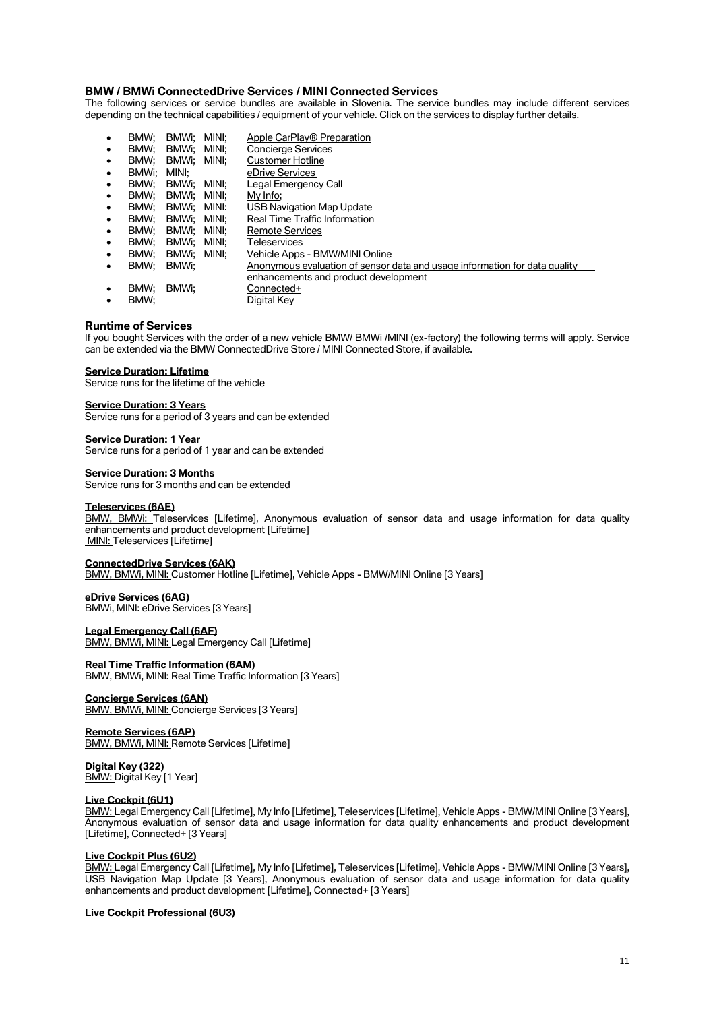### **BMW / BMWi ConnectedDrive Services / MINI Connected Services**

The following services or service bundles are available in Slovenia. The service bundles may include different services depending on the technical capabilities / equipment of your vehicle. Click on the services to display further details.

|   | BMW:  | BMWi:       | MINI: | Apple CarPlay <sup>®</sup> Preparation                                     |
|---|-------|-------------|-------|----------------------------------------------------------------------------|
| ٠ | BMW:  | BMWi:       | MINI: | Concierge Services                                                         |
| ٠ | BMW:  | BMWi:       | MINI: | <b>Customer Hotline</b>                                                    |
| ٠ | BMWi: | MINI:       |       | eDrive Services                                                            |
| ٠ | BMW:  | BMWi:       | MINI: | Legal Emergency Call                                                       |
| ٠ | BMW:  | BMWi:       | MINI: | My Info:                                                                   |
| ٠ | BMW:  | BMWi: MINI: |       | <b>USB Navigation Map Update</b>                                           |
| ٠ | BMW:  | BMWi:       | MINI: | Real Time Traffic Information                                              |
| ٠ | BMW:  | BMWi:       | MINI: | <b>Remote Services</b>                                                     |
| ٠ | BMW:  | BMWi:       | MINI: | Teleservices                                                               |
| ٠ | BMW:  | BMWi:       | MINI: | Vehicle Apps - BMW/MINI Online                                             |
| ٠ | BMW:  | BMWi:       |       | Anonymous evaluation of sensor data and usage information for data quality |
|   |       |             |       | enhancements and product development                                       |
| ٠ | BMW:  | BMWi:       |       | Connected+                                                                 |
| ٠ | BMW:  |             |       | Digital Key                                                                |

### **Runtime of Services**

If you bought Services with the order of a new vehicle BMW/ BMWi /MINI (ex-factory) the following terms will apply. Service can be extended via the BMW ConnectedDrive Store / MINI Connected Store, if available.

### **Service Duration: Lifetime**

Service runs for the lifetime of the vehicle

### **Service Duration: 3 Years**

Service runs for a period of 3 years and can be extended

#### **Service Duration: 1 Year**

Service runs for a period of 1 year and can be extended

### **Service Duration: 3 Months**

Service runs for 3 months and can be extended

### **Teleservices (6AE)**

*BMW, BMWi:* Teleservices [Lifetime], Anonymous evaluation of sensor data and usage information for data quality enhancements and product development [Lifetime] *MINI:* Teleservices [Lifetime]

#### **ConnectedDrive Services (6AK)**

*BMW, BMWi, MINI:* Customer Hotline [Lifetime], Vehicle Apps - BMW/MINI Online [3 Years]

### **eDrive Services (6AG)**

**BMWi, MINI: eDrive Services [3 Years]** 

### **Legal Emergency Call (6AF)**

*BMW, BMWi, MINI:* Legal Emergency Call [Lifetime]

### **Real Time Traffic Information (6AM)**

*BMW, BMWi, MINI:* Real Time Traffic Information [3 Years]

### **Concierge Services (6AN)**

*BMW, BMWi, MINI:* Concierge Services [3 Years]

### **Remote Services (6AP)**

*BMW, BMWi, MINI:* Remote Services [Lifetime]

**Digital Key (322)** *BMW:* Digital Key [1 Year]

#### **Live Cockpit (6U1)**

*BMW:* Legal Emergency Call [Lifetime], My Info [Lifetime], Teleservices [Lifetime], Vehicle Apps - BMW/MINI Online [3 Years], Anonymous evaluation of sensor data and usage information for data quality enhancements and product development [Lifetime], Connected+ [3 Years]

### **Live Cockpit Plus (6U2)**

*BMW:* Legal Emergency Call [Lifetime], My Info [Lifetime], Teleservices [Lifetime], Vehicle Apps - BMW/MINI Online [3 Years], USB Navigation Map Update [3 Years], Anonymous evaluation of sensor data and usage information for data quality enhancements and product development [Lifetime], Connected+ [3 Years]

### **Live Cockpit Professional (6U3)**